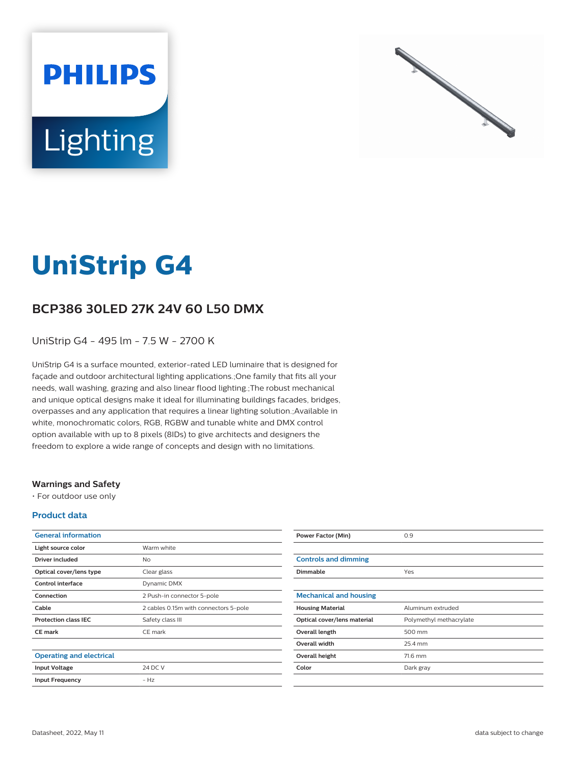



# **UniStrip G4**

## **BCP386 30LED 27K 24V 60 L50 DMX**

UniStrip G4 - 495 lm - 7.5 W - 2700 K

UniStrip G4 is a surface mounted, exterior-rated LED luminaire that is designed for façade and outdoor architectural lighting applications.;One family that fits all your needs, wall washing, grazing and also linear flood lighting.;The robust mechanical and unique optical designs make it ideal for illuminating buildings facades, bridges, overpasses and any application that requires a linear lighting solution.;Available in white, monochromatic colors, RGB, RGBW and tunable white and DMX control option available with up to 8 pixels (8IDs) to give architects and designers the freedom to explore a wide range of concepts and design with no limitations.

#### **Warnings and Safety**

• For outdoor use only

#### **Product data**

| <b>General information</b>      |                                       |
|---------------------------------|---------------------------------------|
| Light source color              | Warm white                            |
| Driver included                 | No                                    |
| Optical cover/lens type         | Clear glass                           |
| Control interface               | Dynamic DMX                           |
| Connection                      | 2 Push-in connector 5-pole            |
| Cable                           | 2 cables 0.15m with connectors 5-pole |
| <b>Protection class IEC</b>     | Safety class III                      |
| <b>CE</b> mark                  | CE mark                               |
|                                 |                                       |
| <b>Operating and electrical</b> |                                       |
| <b>Input Voltage</b>            | 24 DC V                               |
| <b>Input Frequency</b>          | $- Hz$                                |
|                                 |                                       |

| <b>Power Factor (Min)</b>     | 0.9                     |
|-------------------------------|-------------------------|
|                               |                         |
| <b>Controls and dimming</b>   |                         |
| <b>Dimmable</b>               | Yes                     |
|                               |                         |
| <b>Mechanical and housing</b> |                         |
| <b>Housing Material</b>       | Aluminum extruded       |
| Optical cover/lens material   | Polymethyl methacrylate |
| Overall length                | 500 mm                  |
| <b>Overall width</b>          | 25.4 mm                 |
| Overall height                | 71.6 mm                 |
| Color                         | Dark gray               |
|                               |                         |